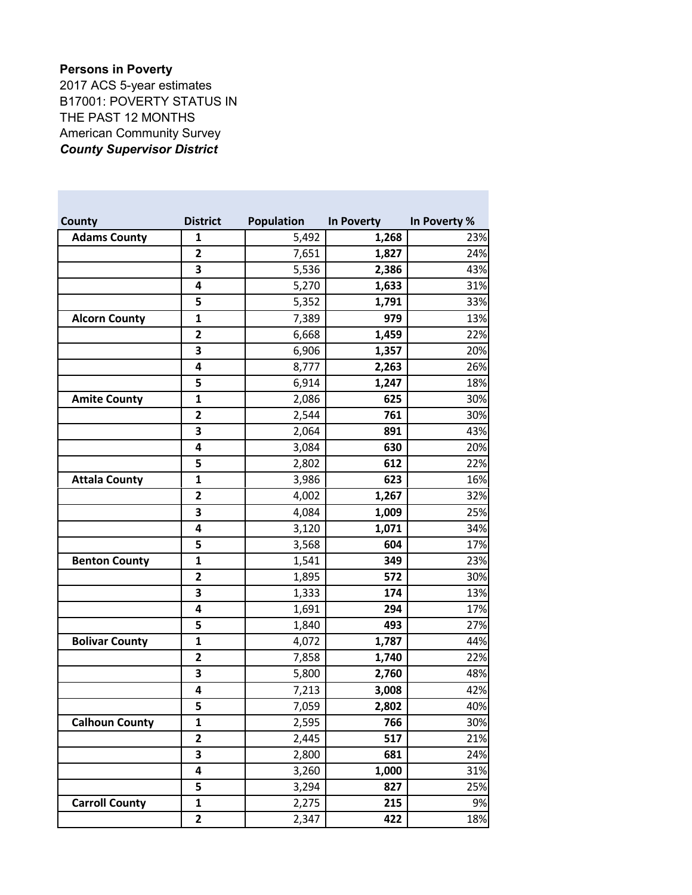## **Persons in Poverty**

2017 ACS 5-year estimates B17001: POVERTY STATUS IN THE PAST 12 MONTHS American Community Survey *County Supervisor District*

| County                | <b>District</b> | <b>Population</b> | <b>In Poverty</b> | In Poverty % |
|-----------------------|-----------------|-------------------|-------------------|--------------|
| <b>Adams County</b>   | 1               | 5,492             | 1,268             | 23%          |
|                       | $\overline{2}$  | 7,651             | 1,827             | 24%          |
|                       | 3               | 5,536             | 2,386             | 43%          |
|                       | 4               | 5,270             | 1,633             | 31%          |
|                       | 5               | 5,352             | 1,791             | 33%          |
| <b>Alcorn County</b>  | $\mathbf{1}$    | 7,389             | 979               | 13%          |
|                       | $\mathbf{2}$    | 6,668             | 1,459             | 22%          |
|                       | 3               | 6,906             | 1,357             | 20%          |
|                       | 4               | 8,777             | 2,263             | 26%          |
|                       | 5               | 6,914             | 1,247             | 18%          |
| <b>Amite County</b>   | $\mathbf{1}$    | 2,086             | 625               | 30%          |
|                       | $\mathbf{2}$    | 2,544             | 761               | 30%          |
|                       | 3               | 2,064             | 891               | 43%          |
|                       | 4               | 3,084             | 630               | 20%          |
|                       | 5               | 2,802             | 612               | 22%          |
| <b>Attala County</b>  | $\mathbf{1}$    | 3,986             | 623               | 16%          |
|                       | $\mathbf{2}$    | 4,002             | 1,267             | 32%          |
|                       | 3               | 4,084             | 1,009             | 25%          |
|                       | 4               | 3,120             | 1,071             | 34%          |
|                       | 5               | 3,568             | 604               | 17%          |
| <b>Benton County</b>  | $\mathbf{1}$    | 1,541             | 349               | 23%          |
|                       | $\mathbf{2}$    | 1,895             | 572               | 30%          |
|                       | 3               | 1,333             | 174               | 13%          |
|                       | 4               | 1,691             | 294               | 17%          |
|                       | 5               | 1,840             | 493               | 27%          |
| <b>Bolivar County</b> | $\mathbf{1}$    | 4,072             | 1,787             | 44%          |
|                       | $\mathbf{2}$    | 7,858             | 1,740             | 22%          |
|                       | 3               | 5,800             | 2,760             | 48%          |
|                       | 4               | 7,213             | 3,008             | 42%          |
|                       | 5               | 7,059             | 2,802             | 40%          |
| <b>Calhoun County</b> | 1               | 2,595             | 766               | 30%          |
|                       | $\overline{2}$  | 2,445             | 517               | 21%          |
|                       | 3               | 2,800             | 681               | 24%          |
|                       | 4               | 3,260             | 1,000             | 31%          |
|                       | 5               | 3,294             | 827               | 25%          |
| <b>Carroll County</b> | $\mathbf{1}$    | 2,275             | 215               | 9%           |
|                       | $\mathbf{2}$    | 2,347             | 422               | 18%          |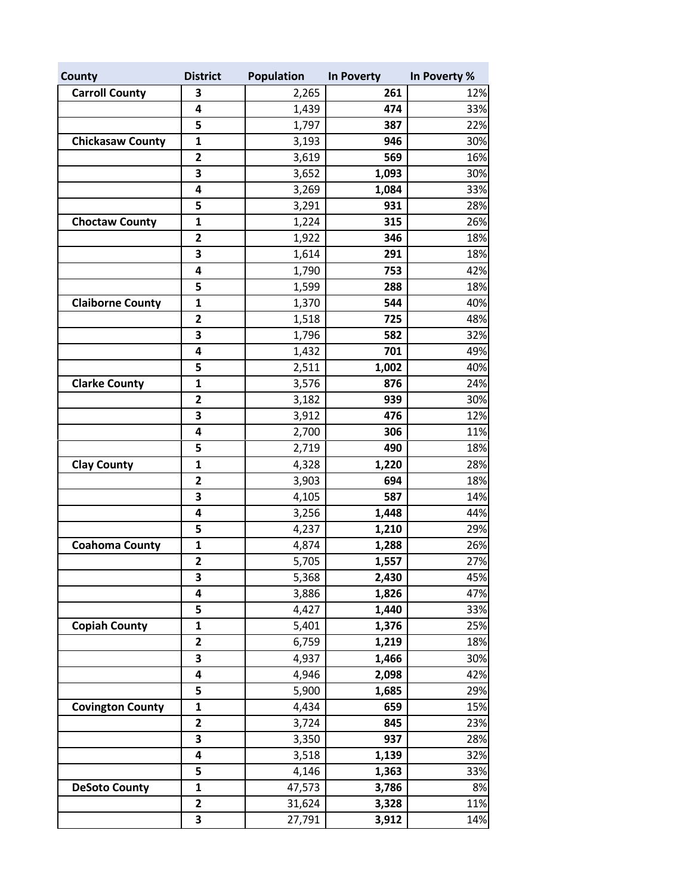| County                  | <b>District</b>         | Population | In Poverty | In Poverty % |
|-------------------------|-------------------------|------------|------------|--------------|
| <b>Carroll County</b>   | 3                       | 2,265      | 261        | 12%          |
|                         | 4                       | 1,439      | 474        | 33%          |
|                         | 5                       | 1,797      | 387        | 22%          |
| <b>Chickasaw County</b> | $\mathbf{1}$            | 3,193      | 946        | 30%          |
|                         | $\overline{\mathbf{2}}$ | 3,619      | 569        | 16%          |
|                         | 3                       | 3,652      | 1,093      | 30%          |
|                         | 4                       | 3,269      | 1,084      | 33%          |
|                         | 5                       | 3,291      | 931        | 28%          |
| <b>Choctaw County</b>   | $\mathbf{1}$            | 1,224      | 315        | 26%          |
|                         | $\mathbf 2$             | 1,922      | 346        | 18%          |
|                         | 3                       | 1,614      | 291        | 18%          |
|                         | 4                       | 1,790      | 753        | 42%          |
|                         | 5                       | 1,599      | 288        | 18%          |
| <b>Claiborne County</b> | $\mathbf{1}$            | 1,370      | 544        | 40%          |
|                         | 2                       | 1,518      | 725        | 48%          |
|                         | 3                       | 1,796      | 582        | 32%          |
|                         | 4                       | 1,432      | 701        | 49%          |
|                         | 5                       | 2,511      | 1,002      | 40%          |
| <b>Clarke County</b>    | $\mathbf{1}$            | 3,576      | 876        | 24%          |
|                         | $\overline{\mathbf{c}}$ | 3,182      | 939        | 30%          |
|                         | 3                       | 3,912      | 476        | 12%          |
|                         | 4                       | 2,700      | 306        | 11%          |
|                         | 5                       | 2,719      | 490        | 18%          |
| <b>Clay County</b>      | $\mathbf{1}$            | 4,328      | 1,220      | 28%          |
|                         | $\overline{\mathbf{c}}$ | 3,903      | 694        | 18%          |
|                         | 3                       | 4,105      | 587        | 14%          |
|                         | 4                       | 3,256      | 1,448      | 44%          |
|                         | 5                       | 4,237      | 1,210      | 29%          |
| <b>Coahoma County</b>   | $\mathbf{1}$            | 4,874      | 1,288      | 26%          |
|                         | $\mathbf{2}$            | 5,705      | 1,557      | 27%          |
|                         | 3                       | 5,368      | 2,430      | 45%          |
|                         | 4                       | 3,886      | 1,826      | 47%          |
|                         | 5                       | 4,427      | 1,440      | 33%          |
| <b>Copiah County</b>    | $\mathbf{1}$            | 5,401      | 1,376      | 25%          |
|                         | $\overline{\mathbf{c}}$ | 6,759      | 1,219      | 18%          |
|                         | 3                       | 4,937      | 1,466      | 30%          |
|                         | 4                       | 4,946      | 2,098      | 42%          |
|                         | 5                       | 5,900      | 1,685      | 29%          |
| <b>Covington County</b> | $\mathbf{1}$            | 4,434      | 659        | 15%          |
|                         | $\overline{\mathbf{c}}$ | 3,724      | 845        | 23%          |
|                         | 3                       | 3,350      | 937        | 28%          |
|                         | 4                       | 3,518      | 1,139      | 32%          |
|                         | 5                       | 4,146      | 1,363      | 33%          |
| <b>DeSoto County</b>    | $\mathbf{1}$            | 47,573     | 3,786      | 8%           |
|                         | $\overline{\mathbf{2}}$ | 31,624     | 3,328      | 11%          |
|                         | 3                       | 27,791     | 3,912      | 14%          |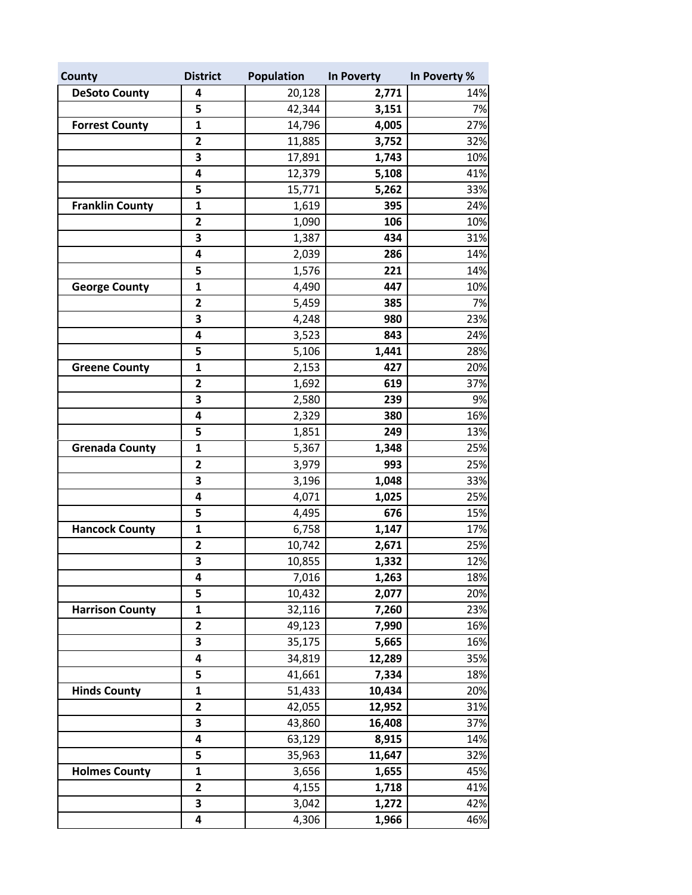| County                 | <b>District</b>         | <b>Population</b> | In Poverty | In Poverty % |
|------------------------|-------------------------|-------------------|------------|--------------|
| <b>DeSoto County</b>   | 4                       | 20,128            | 2,771      | 14%          |
|                        | 5                       | 42,344            | 3,151      | 7%           |
| <b>Forrest County</b>  | 1                       | 14,796            | 4,005      | 27%          |
|                        | 2                       | 11,885            | 3,752      | 32%          |
|                        | 3                       | 17,891            | 1,743      | 10%          |
|                        | 4                       | 12,379            | 5,108      | 41%          |
|                        | 5                       | 15,771            | 5,262      | 33%          |
| <b>Franklin County</b> | 1                       | 1,619             | 395        | 24%          |
|                        | $\mathbf{2}$            | 1,090             | 106        | 10%          |
|                        | 3                       | 1,387             | 434        | 31%          |
|                        | 4                       | 2,039             | 286        | 14%          |
|                        | 5                       | 1,576             | 221        | 14%          |
| <b>George County</b>   | $\mathbf{1}$            | 4,490             | 447        | 10%          |
|                        | $\overline{\mathbf{c}}$ | 5,459             | 385        | 7%           |
|                        | 3                       | 4,248             | 980        | 23%          |
|                        | 4                       | 3,523             | 843        | 24%          |
|                        | 5                       | 5,106             | 1,441      | 28%          |
| <b>Greene County</b>   | $\mathbf{1}$            | 2,153             | 427        | 20%          |
|                        | $\mathbf{2}$            | 1,692             | 619        | 37%          |
|                        | 3                       | 2,580             | 239        | 9%           |
|                        | 4                       | 2,329             | 380        | 16%          |
|                        | 5                       | 1,851             | 249        | 13%          |
| <b>Grenada County</b>  | $\mathbf{1}$            | 5,367             | 1,348      | 25%          |
|                        | $\overline{2}$          | 3,979             | 993        | 25%          |
|                        | 3                       | 3,196             | 1,048      | 33%          |
|                        | 4                       | 4,071             | 1,025      | 25%          |
|                        | 5                       | 4,495             | 676        | 15%          |
| <b>Hancock County</b>  | $\mathbf{1}$            | 6,758             | 1,147      | 17%          |
|                        | $\overline{2}$          | 10,742            | 2,671      | 25%          |
|                        | 3                       | 10,855            | 1,332      | 12%          |
|                        | 4                       | 7,016             | 1,263      | 18%          |
|                        | 5                       | 10,432            | 2,077      | 20%          |
| <b>Harrison County</b> | 1                       | 32,116            | 7,260      | 23%          |
|                        | 2                       | 49,123            | 7,990      | 16%          |
|                        | 3                       | 35,175            | 5,665      | 16%          |
|                        | 4                       | 34,819            | 12,289     | 35%          |
|                        | 5                       | 41,661            | 7,334      | 18%          |
| <b>Hinds County</b>    | 1                       | 51,433            | 10,434     | 20%          |
|                        | 2                       | 42,055            | 12,952     | 31%          |
|                        | 3                       | 43,860            | 16,408     | 37%          |
|                        | 4                       | 63,129            | 8,915      | 14%          |
|                        | 5                       | 35,963            | 11,647     | 32%          |
| <b>Holmes County</b>   | $\mathbf{1}$            | 3,656             | 1,655      | 45%          |
|                        | $\mathbf{2}$            | 4,155             | 1,718      | 41%          |
|                        | 3                       | 3,042             | 1,272      | 42%          |
|                        | 4                       | 4,306             | 1,966      | 46%          |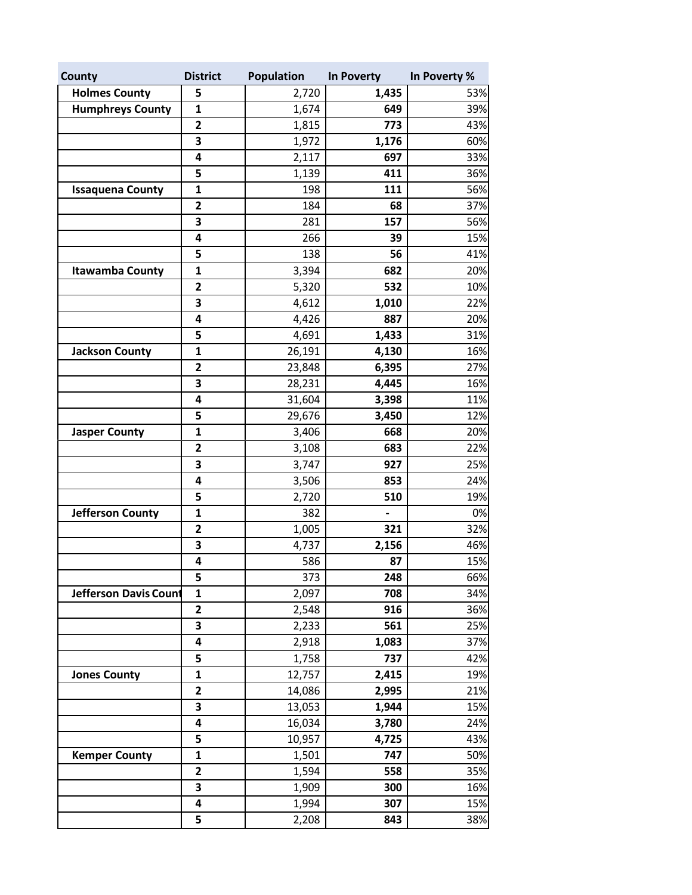| County                  | <b>District</b>         | <b>Population</b> | In Poverty | In Poverty % |
|-------------------------|-------------------------|-------------------|------------|--------------|
| <b>Holmes County</b>    | 5                       | 2,720             | 1,435      | 53%          |
| <b>Humphreys County</b> | $\mathbf{1}$            | 1,674             | 649        | 39%          |
|                         | $\mathbf{2}$            | 1,815             | 773        | 43%          |
|                         | 3                       | 1,972             | 1,176      | 60%          |
|                         | 4                       | 2,117             | 697        | 33%          |
|                         | 5                       | 1,139             | 411        | 36%          |
| <b>Issaquena County</b> | $\mathbf{1}$            | 198               | 111        | 56%          |
|                         | $\overline{\mathbf{2}}$ | 184               | 68         | 37%          |
|                         | 3                       | 281               | 157        | 56%          |
|                         | 4                       | 266               | 39         | 15%          |
|                         | 5                       | 138               | 56         | 41%          |
| <b>Itawamba County</b>  | $\mathbf 1$             | 3,394             | 682        | 20%          |
|                         | $\overline{\mathbf{2}}$ | 5,320             | 532        | 10%          |
|                         | 3                       | 4,612             | 1,010      | 22%          |
|                         | 4                       | 4,426             | 887        | 20%          |
|                         | 5                       | 4,691             | 1,433      | 31%          |
| <b>Jackson County</b>   | $\mathbf 1$             | 26,191            | 4,130      | 16%          |
|                         | $\mathbf{2}$            | 23,848            | 6,395      | 27%          |
|                         | 3                       | 28,231            | 4,445      | 16%          |
|                         | 4                       | 31,604            | 3,398      | 11%          |
|                         | 5                       | 29,676            | 3,450      | 12%          |
| <b>Jasper County</b>    | $\mathbf{1}$            | 3,406             | 668        | 20%          |
|                         | $\overline{\mathbf{c}}$ | 3,108             | 683        | 22%          |
|                         | 3                       | 3,747             | 927        | 25%          |
|                         | 4                       | 3,506             | 853        | 24%          |
|                         | 5                       | 2,720             | 510        | 19%          |
| <b>Jefferson County</b> | 1                       | 382               |            | 0%           |
|                         | 2                       | 1,005             | 321        | 32%          |
|                         | 3                       | 4,737             | 2,156      | 46%          |
|                         | 4                       | 586               | 87         | 15%          |
|                         | 5                       | 373               | 248        | 66%          |
| Jefferson Davis Count   | $\mathbf{1}$            | 2,097             | 708        | 34%          |
|                         | $\mathbf{2}$            | 2,548             | 916        | 36%          |
|                         | 3                       | 2,233             | 561        | 25%          |
|                         | 4                       | 2,918             | 1,083      | 37%          |
|                         | 5                       | 1,758             | 737        | 42%          |
| <b>Jones County</b>     | 1                       | 12,757            | 2,415      | 19%          |
|                         | 2                       | 14,086            | 2,995      | 21%          |
|                         | 3                       | 13,053            | 1,944      | 15%          |
|                         | 4                       | 16,034            | 3,780      | 24%          |
|                         | 5                       | 10,957            | 4,725      | 43%          |
| <b>Kemper County</b>    | $\mathbf{1}$            | 1,501             | 747        | 50%          |
|                         | 2                       | 1,594             | 558        | 35%          |
|                         | 3                       | 1,909             | 300        | 16%          |
|                         | 4                       | 1,994             | 307        | 15%          |
|                         | 5                       | 2,208             | 843        | 38%          |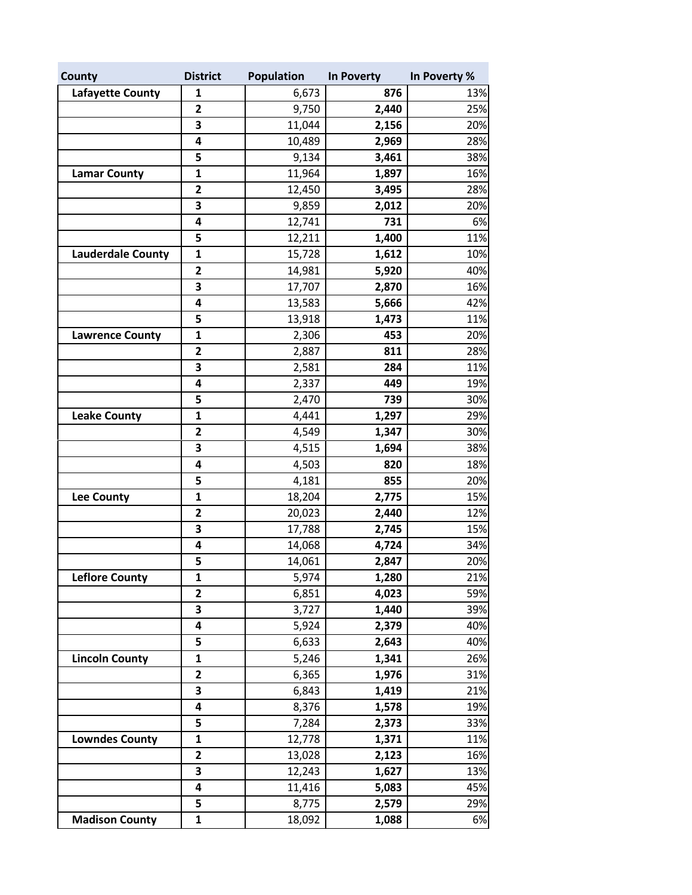| County                   | <b>District</b>         | Population | In Poverty | In Poverty % |
|--------------------------|-------------------------|------------|------------|--------------|
| <b>Lafayette County</b>  | 1                       | 6,673      | 876        | 13%          |
|                          | $\mathbf{2}$            | 9,750      | 2,440      | 25%          |
|                          | 3                       | 11,044     | 2,156      | 20%          |
|                          | 4                       | 10,489     | 2,969      | 28%          |
|                          | 5                       | 9,134      | 3,461      | 38%          |
| <b>Lamar County</b>      | $\mathbf{1}$            | 11,964     | 1,897      | 16%          |
|                          | $\mathbf{2}$            | 12,450     | 3,495      | 28%          |
|                          | 3                       | 9,859      | 2,012      | 20%          |
|                          | 4                       | 12,741     | 731        | 6%           |
|                          | 5                       | 12,211     | 1,400      | 11%          |
| <b>Lauderdale County</b> | 1                       | 15,728     | 1,612      | 10%          |
|                          | 2                       | 14,981     | 5,920      | 40%          |
|                          | 3                       | 17,707     | 2,870      | 16%          |
|                          | 4                       | 13,583     | 5,666      | 42%          |
|                          | 5                       | 13,918     | 1,473      | 11%          |
| <b>Lawrence County</b>   | $\mathbf{1}$            | 2,306      | 453        | 20%          |
|                          | 2                       | 2,887      | 811        | 28%          |
|                          | 3                       | 2,581      | 284        | 11%          |
|                          | 4                       | 2,337      | 449        | 19%          |
|                          | 5                       | 2,470      | 739        | 30%          |
| <b>Leake County</b>      | $\mathbf{1}$            | 4,441      | 1,297      | 29%          |
|                          | $\overline{2}$          | 4,549      | 1,347      | 30%          |
|                          | 3                       | 4,515      | 1,694      | 38%          |
|                          | 4                       | 4,503      | 820        | 18%          |
|                          | 5                       | 4,181      | 855        | 20%          |
| <b>Lee County</b>        | $\mathbf{1}$            | 18,204     | 2,775      | 15%          |
|                          | $\overline{\mathbf{2}}$ | 20,023     | 2,440      | 12%          |
|                          | 3                       | 17,788     | 2,745      | 15%          |
|                          | 4                       | 14,068     | 4,724      | 34%          |
|                          | 5                       | 14,061     | 2,847      | 20%          |
| <b>Leflore County</b>    | 1                       | 5,974      | 1,280      | 21%          |
|                          | $\overline{2}$          | 6,851      | 4,023      | 59%          |
|                          | 3                       | 3,727      | 1,440      | 39%          |
|                          | 4                       | 5,924      | 2,379      | 40%          |
|                          | 5                       | 6,633      | 2,643      | 40%          |
| <b>Lincoln County</b>    | 1                       | 5,246      | 1,341      | 26%          |
|                          | $\overline{\mathbf{2}}$ | 6,365      | 1,976      | 31%          |
|                          | 3                       | 6,843      | 1,419      | 21%          |
|                          | 4                       | 8,376      | 1,578      | 19%          |
|                          | 5                       | 7,284      | 2,373      | 33%          |
| <b>Lowndes County</b>    | 1                       | 12,778     | 1,371      | 11%          |
|                          | $\overline{\mathbf{2}}$ | 13,028     | 2,123      | 16%          |
|                          | 3                       | 12,243     | 1,627      | 13%          |
|                          | 4                       | 11,416     | 5,083      | 45%          |
|                          | 5                       | 8,775      | 2,579      | 29%          |
| <b>Madison County</b>    | $\mathbf{1}$            | 18,092     | 1,088      | 6%           |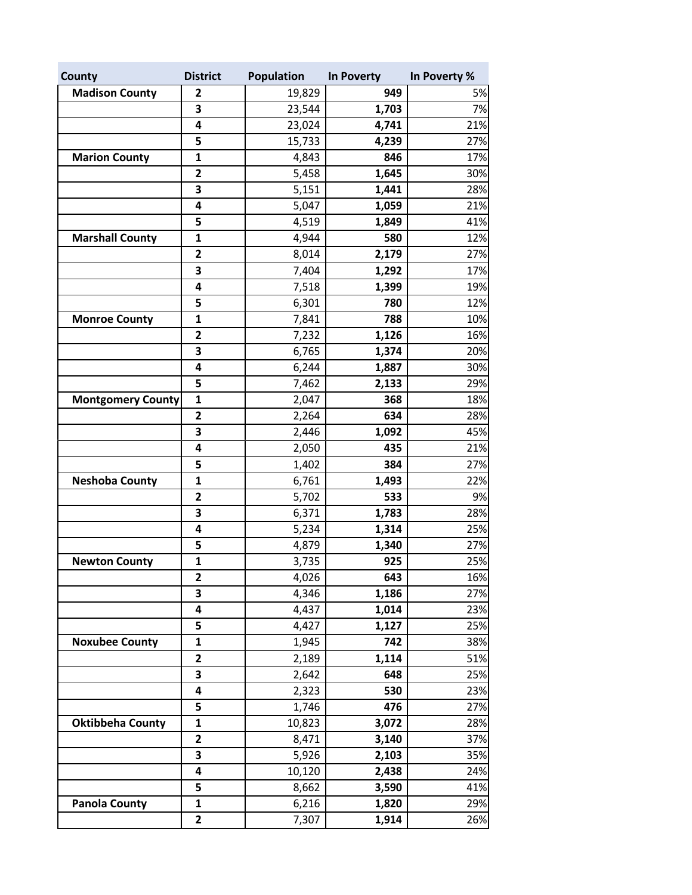| County                   | <b>District</b>         | Population | In Poverty | In Poverty % |
|--------------------------|-------------------------|------------|------------|--------------|
| <b>Madison County</b>    | 2                       | 19,829     | 949        | 5%           |
|                          | 3                       | 23,544     | 1,703      | 7%           |
|                          | 4                       | 23,024     | 4,741      | 21%          |
|                          | 5                       | 15,733     | 4,239      | 27%          |
| <b>Marion County</b>     | 1                       | 4,843      | 846        | 17%          |
|                          | $\overline{\mathbf{2}}$ | 5,458      | 1,645      | 30%          |
|                          | 3                       | 5,151      | 1,441      | 28%          |
|                          | 4                       | 5,047      | 1,059      | 21%          |
|                          | 5                       | 4,519      | 1,849      | 41%          |
| <b>Marshall County</b>   | 1                       | 4,944      | 580        | 12%          |
|                          | $\mathbf{2}$            | 8,014      | 2,179      | 27%          |
|                          | 3                       | 7,404      | 1,292      | 17%          |
|                          | 4                       | 7,518      | 1,399      | 19%          |
|                          | 5                       | 6,301      | 780        | 12%          |
| <b>Monroe County</b>     | $\mathbf{1}$            | 7,841      | 788        | 10%          |
|                          | $\overline{\mathbf{2}}$ | 7,232      | 1,126      | 16%          |
|                          | 3                       | 6,765      | 1,374      | 20%          |
|                          | 4                       | 6,244      | 1,887      | 30%          |
|                          | 5                       | 7,462      | 2,133      | 29%          |
| <b>Montgomery County</b> | $\mathbf{1}$            | 2,047      | 368        | 18%          |
|                          | $\overline{\mathbf{2}}$ | 2,264      | 634        | 28%          |
|                          | 3                       | 2,446      | 1,092      | 45%          |
|                          | 4                       | 2,050      | 435        | 21%          |
|                          | 5                       | 1,402      | 384        | 27%          |
| <b>Neshoba County</b>    | $\mathbf{1}$            | 6,761      | 1,493      | 22%          |
|                          | 2                       | 5,702      | 533        | 9%           |
|                          | 3                       | 6,371      | 1,783      | 28%          |
|                          | 4                       | 5,234      | 1,314      | 25%          |
|                          | 5                       | 4,879      | 1,340      | 27%          |
| <b>Newton County</b>     | 1                       | 3,735      | 925        | 25%          |
|                          | 2                       | 4,026      | 643        | 16%          |
|                          | 3                       | 4,346      | 1,186      | 27%          |
|                          | 4                       | 4,437      | 1,014      | 23%          |
|                          | 5                       | 4,427      | 1,127      | 25%          |
| <b>Noxubee County</b>    | 1                       | 1,945      | 742        | 38%          |
|                          | 2                       | 2,189      | 1,114      | 51%          |
|                          | 3                       | 2,642      | 648        | 25%          |
|                          | 4                       | 2,323      | 530        | 23%          |
|                          | 5                       | 1,746      | 476        | 27%          |
| <b>Oktibbeha County</b>  | $\mathbf{1}$            | 10,823     | 3,072      | 28%          |
|                          | 2                       | 8,471      | 3,140      | 37%          |
|                          | 3                       | 5,926      | 2,103      | 35%          |
|                          | 4                       | 10,120     | 2,438      | 24%          |
|                          | 5                       | 8,662      | 3,590      | 41%          |
| <b>Panola County</b>     | $\mathbf{1}$            | 6,216      | 1,820      | 29%          |
|                          | $\mathbf{2}$            | 7,307      | 1,914      | 26%          |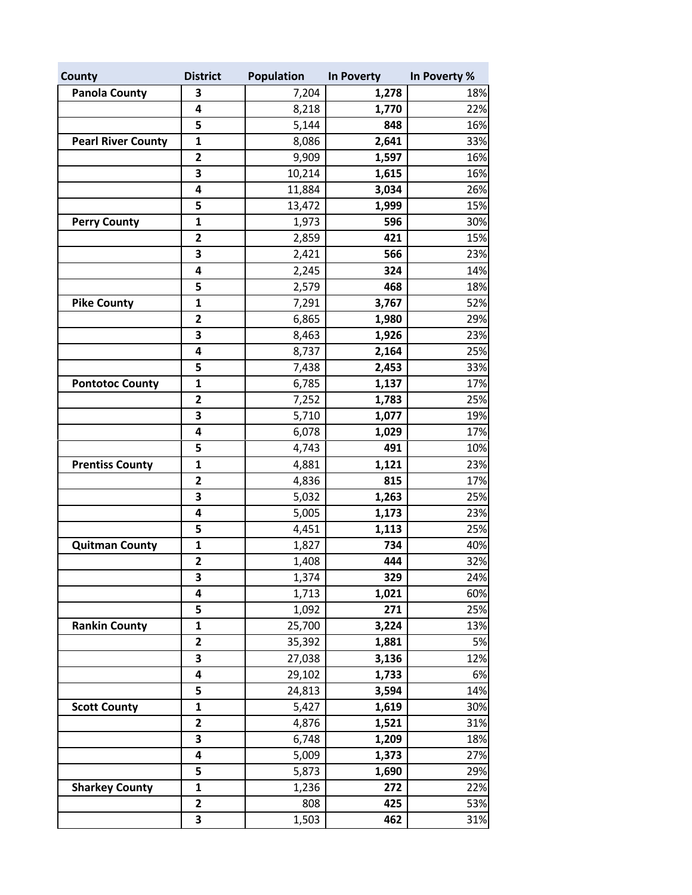| County                    | <b>District</b>         | <b>Population</b> | In Poverty | In Poverty % |
|---------------------------|-------------------------|-------------------|------------|--------------|
| Panola County             | 3                       | 7,204             | 1,278      | 18%          |
|                           | 4                       | 8,218             | 1,770      | 22%          |
|                           | 5                       | 5,144             | 848        | 16%          |
| <b>Pearl River County</b> | 1                       | 8,086             | 2,641      | 33%          |
|                           | $\overline{\mathbf{c}}$ | 9,909             | 1,597      | 16%          |
|                           | 3                       | 10,214            | 1,615      | 16%          |
|                           | 4                       | 11,884            | 3,034      | 26%          |
|                           | 5                       | 13,472            | 1,999      | 15%          |
| <b>Perry County</b>       | $\mathbf{1}$            | 1,973             | 596        | 30%          |
|                           | 2                       | 2,859             | 421        | 15%          |
|                           | 3                       | 2,421             | 566        | 23%          |
|                           | 4                       | 2,245             | 324        | 14%          |
|                           | 5                       | 2,579             | 468        | 18%          |
| <b>Pike County</b>        | $\mathbf{1}$            | 7,291             | 3,767      | 52%          |
|                           | 2                       | 6,865             | 1,980      | 29%          |
|                           | 3                       | 8,463             | 1,926      | 23%          |
|                           | 4                       | 8,737             | 2,164      | 25%          |
|                           | 5                       | 7,438             | 2,453      | 33%          |
| <b>Pontotoc County</b>    | $\mathbf{1}$            | 6,785             | 1,137      | 17%          |
|                           | 2                       | 7,252             | 1,783      | 25%          |
|                           | 3                       | 5,710             | 1,077      | 19%          |
|                           | 4                       | 6,078             | 1,029      | 17%          |
|                           | 5                       | 4,743             | 491        | 10%          |
| <b>Prentiss County</b>    | $\mathbf{1}$            | 4,881             | 1,121      | 23%          |
|                           | $\mathbf{2}$            | 4,836             | 815        | 17%          |
|                           | 3                       | 5,032             | 1,263      | 25%          |
|                           | 4                       | 5,005             | 1,173      | 23%          |
|                           | 5                       | 4,451             | 1,113      | 25%          |
| <b>Quitman County</b>     | $\mathbf 1$             | 1,827             | 734        | 40%          |
|                           | 2                       | 1,408             | 444        | 32%          |
|                           | З                       | 1,374             | 329        | 24%          |
|                           | 4                       | 1,713             | 1,021      | 60%          |
|                           | 5                       | 1,092             | 271        | 25%          |
| <b>Rankin County</b>      | 1                       | 25,700            | 3,224      | 13%          |
|                           | $\overline{\mathbf{c}}$ | 35,392            | 1,881      | 5%           |
|                           | 3                       | 27,038            | 3,136      | 12%          |
|                           | 4                       | 29,102            | 1,733      | 6%           |
|                           | 5                       | 24,813            | 3,594      | 14%          |
| <b>Scott County</b>       | $\mathbf{1}$            | 5,427             | 1,619      | 30%          |
|                           | 2                       | 4,876             | 1,521      | 31%          |
|                           | 3                       | 6,748             | 1,209      | 18%          |
|                           | 4                       | 5,009             | 1,373      | 27%          |
|                           | 5                       | 5,873             | 1,690      | 29%          |
| <b>Sharkey County</b>     | $\mathbf{1}$            | 1,236             | 272        | 22%          |
|                           | $\overline{2}$          | 808               | 425        | 53%          |
|                           | 3                       | 1,503             | 462        | 31%          |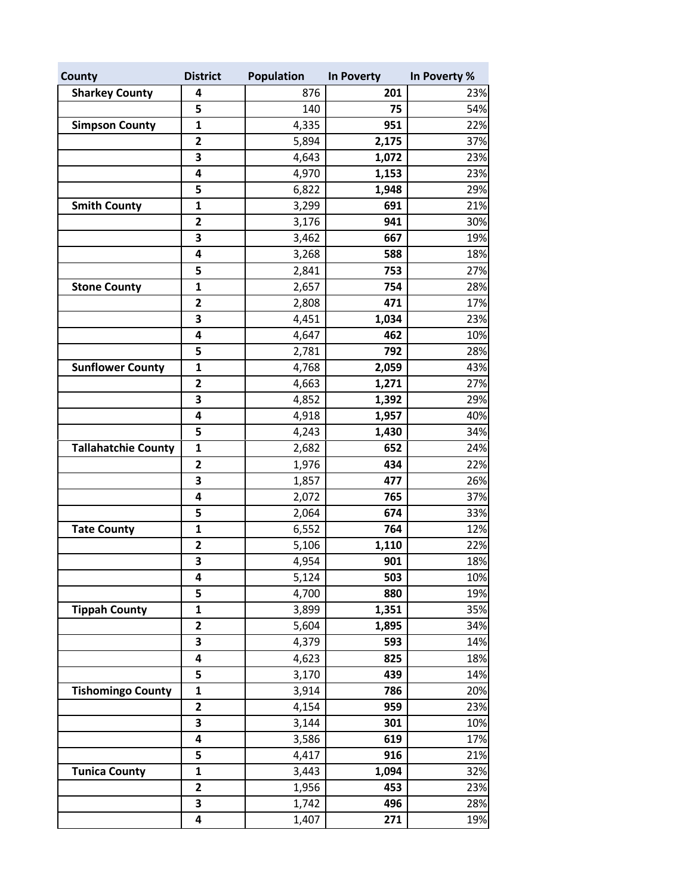| County                     | <b>District</b>         | <b>Population</b> | In Poverty | In Poverty % |
|----------------------------|-------------------------|-------------------|------------|--------------|
| <b>Sharkey County</b>      | 4                       | 876               | 201        | 23%          |
|                            | 5                       | 140               | 75         | 54%          |
| <b>Simpson County</b>      | 1                       | 4,335             | 951        | 22%          |
|                            | 2                       | 5,894             | 2,175      | 37%          |
|                            | 3                       | 4,643             | 1,072      | 23%          |
|                            | 4                       | 4,970             | 1,153      | 23%          |
|                            | 5                       | 6,822             | 1,948      | 29%          |
| <b>Smith County</b>        | 1                       | 3,299             | 691        | 21%          |
|                            | $\mathbf{2}$            | 3,176             | 941        | 30%          |
|                            | 3                       | 3,462             | 667        | 19%          |
|                            | 4                       | 3,268             | 588        | 18%          |
|                            | 5                       | 2,841             | 753        | 27%          |
| <b>Stone County</b>        | $\mathbf{1}$            | 2,657             | 754        | 28%          |
|                            | $\overline{\mathbf{2}}$ | 2,808             | 471        | 17%          |
|                            | 3                       | 4,451             | 1,034      | 23%          |
|                            | 4                       | 4,647             | 462        | 10%          |
|                            | 5                       | 2,781             | 792        | 28%          |
| <b>Sunflower County</b>    | $\mathbf{1}$            | 4,768             | 2,059      | 43%          |
|                            | $\mathbf{2}$            | 4,663             | 1,271      | 27%          |
|                            | 3                       | 4,852             | 1,392      | 29%          |
|                            | 4                       | 4,918             | 1,957      | 40%          |
|                            | 5                       | 4,243             | 1,430      | 34%          |
| <b>Tallahatchie County</b> | $\mathbf{1}$            | 2,682             | 652        | 24%          |
|                            | $\overline{2}$          | 1,976             | 434        | 22%          |
|                            | 3                       | 1,857             | 477        | 26%          |
|                            | 4                       | 2,072             | 765        | 37%          |
|                            | 5                       | 2,064             | 674        | 33%          |
| <b>Tate County</b>         | $\mathbf{1}$            | 6,552             | 764        | 12%          |
|                            | $\overline{2}$          | 5,106             | 1,110      | 22%          |
|                            | 3                       | 4,954             | 901        | 18%          |
|                            | 4                       | 5,124             | 503        | 10%          |
|                            | 5                       | 4,700             | 880        | 19%          |
| <b>Tippah County</b>       | 1                       | 3,899             | 1,351      | 35%          |
|                            | 2                       | 5,604             | 1,895      | 34%          |
|                            | 3                       | 4,379             | 593        | 14%          |
|                            | 4                       | 4,623             | 825        | 18%          |
|                            | 5                       | 3,170             | 439        | 14%          |
| <b>Tishomingo County</b>   | 1                       | 3,914             | 786        | 20%          |
|                            | 2                       | 4,154             | 959        | 23%          |
|                            | 3                       | 3,144             | 301        | 10%          |
|                            | 4                       | 3,586             | 619        | 17%          |
|                            | 5                       | 4,417             | 916        | 21%          |
| <b>Tunica County</b>       | $\mathbf{1}$            | 3,443             | 1,094      | 32%          |
|                            | $\mathbf{2}$            | 1,956             | 453        | 23%          |
|                            | 3                       | 1,742             | 496        | 28%          |
|                            | 4                       | 1,407             | 271        | 19%          |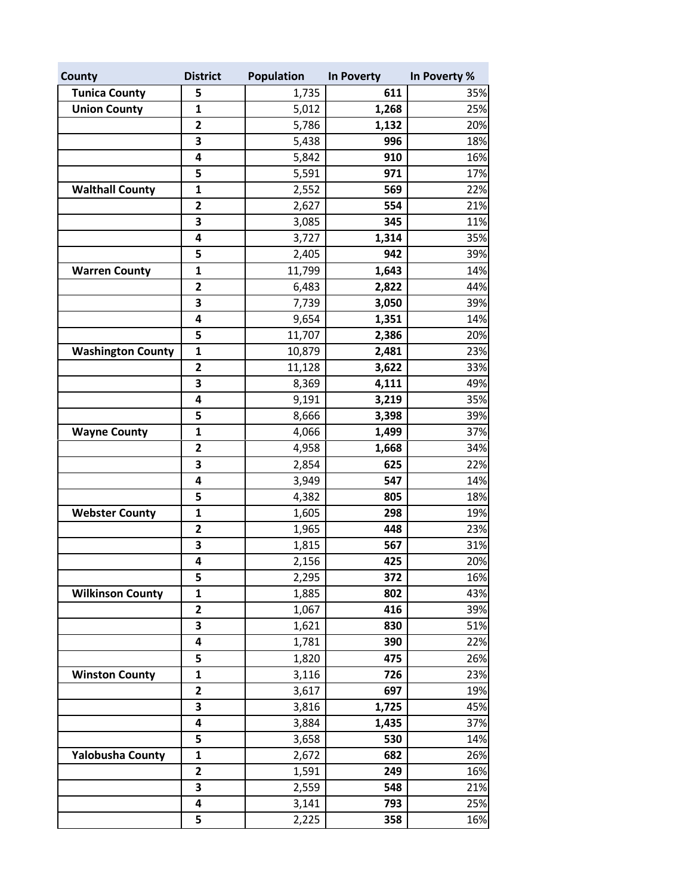| County                   | <b>District</b>   | <b>Population</b> | In Poverty | In Poverty % |
|--------------------------|-------------------|-------------------|------------|--------------|
| <b>Tunica County</b>     | 5                 | 1,735             | 611        | 35%          |
| <b>Union County</b>      | $\mathbf{1}$      | 5,012             | 1,268      | 25%          |
|                          | $\mathbf{2}$      | 5,786             | 1,132      | 20%          |
|                          | 3                 | 5,438             | 996        | 18%          |
|                          | 4                 | 5,842             | 910        | 16%          |
|                          | 5                 | 5,591             | 971        | 17%          |
| <b>Walthall County</b>   | $\mathbf{1}$      | 2,552             | 569        | 22%          |
|                          | $\overline{2}$    | 2,627             | 554        | 21%          |
|                          | 3                 | 3,085             | 345        | 11%          |
|                          | 4                 | 3,727             | 1,314      | 35%          |
|                          | 5                 | 2,405             | 942        | 39%          |
| <b>Warren County</b>     | $\mathbf{1}$      | 11,799            | 1,643      | 14%          |
|                          | $\mathbf{2}$      | 6,483             | 2,822      | 44%          |
|                          | 3                 | 7,739             | 3,050      | 39%          |
|                          | 4                 | 9,654             | 1,351      | 14%          |
|                          | 5                 | 11,707            | 2,386      | 20%          |
| <b>Washington County</b> | $\mathbf{1}$      | 10,879            | 2,481      | 23%          |
|                          | $\overline{2}$    | 11,128            | 3,622      | 33%          |
|                          | 3                 | 8,369             | 4,111      | 49%          |
|                          | 4                 | 9,191             | 3,219      | 35%          |
|                          | 5                 | 8,666             | 3,398      | 39%          |
| <b>Wayne County</b>      | 1                 | 4,066             | 1,499      | 37%          |
|                          | 2                 | 4,958             | 1,668      | 34%          |
|                          | 3                 | 2,854             | 625        | 22%          |
|                          | 4                 | 3,949             | 547        | 14%          |
|                          | 5                 | 4,382             | 805        | 18%          |
| <b>Webster County</b>    | $\mathbf{1}$      | 1,605             | 298        | 19%          |
|                          | $\mathbf{2}$      | 1,965             | 448        | 23%          |
|                          | 3                 | 1,815             | 567        | 31%          |
|                          | 4                 | 2,156             | 425        | 20%          |
| <b>Wilkinson County</b>  | 5<br>$\mathbf{1}$ | 2,295<br>1,885    | 372<br>802 | 16%<br>43%   |
|                          | 2                 | 1,067             | 416        | 39%          |
|                          | 3                 | 1,621             | 830        | 51%          |
|                          | 4                 | 1,781             | 390        | 22%          |
|                          | 5                 | 1,820             | 475        | 26%          |
| <b>Winston County</b>    | $\mathbf{1}$      | 3,116             | 726        | 23%          |
|                          | 2                 | 3,617             | 697        | 19%          |
|                          | 3                 | 3,816             | 1,725      | 45%          |
|                          | 4                 | 3,884             | 1,435      | 37%          |
|                          | 5                 | 3,658             | 530        | 14%          |
| <b>Yalobusha County</b>  | $\mathbf{1}$      | 2,672             | 682        | 26%          |
|                          | $\mathbf{2}$      | 1,591             | 249        | 16%          |
|                          | 3                 | 2,559             | 548        | 21%          |
|                          | 4                 | 3,141             | 793        | 25%          |
|                          | 5                 | 2,225             | 358        | 16%          |